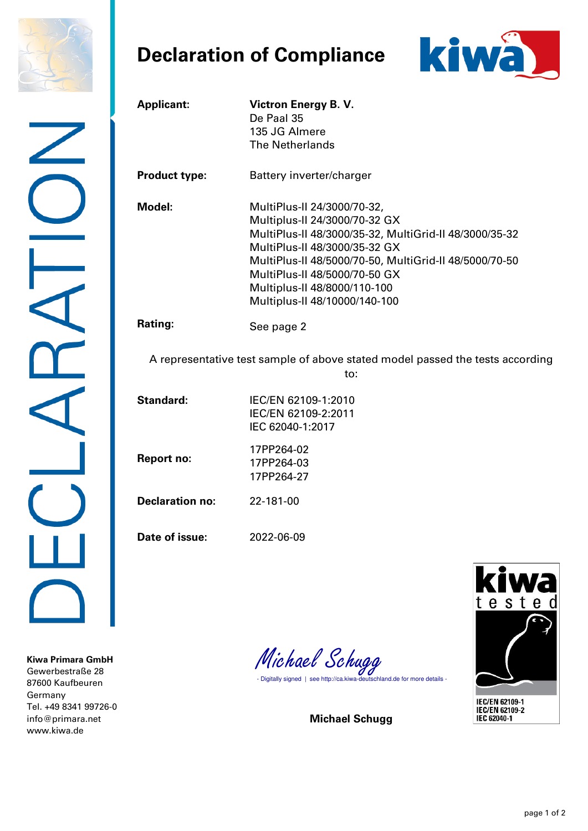

## **Declaration of Compliance**



| <b>Applicant:</b>      | <b>Victron Energy B. V.</b><br>De Paal 35<br>135 JG Almere<br><b>The Netherlands</b>                                                                                                                                                                                                                                |
|------------------------|---------------------------------------------------------------------------------------------------------------------------------------------------------------------------------------------------------------------------------------------------------------------------------------------------------------------|
| <b>Product type:</b>   | Battery inverter/charger                                                                                                                                                                                                                                                                                            |
| Model:                 | MultiPlus-II 24/3000/70-32,<br>Multiplus-II 24/3000/70-32 GX<br>MultiPlus-II 48/3000/35-32, MultiGrid-II 48/3000/35-32<br>MultiPlus-II 48/3000/35-32 GX<br>MultiPlus-II 48/5000/70-50, MultiGrid-II 48/5000/70-50<br>MultiPlus-II 48/5000/70-50 GX<br>Multiplus-II 48/8000/110-100<br>Multiplus-II 48/10000/140-100 |
| Rating:                | See page 2                                                                                                                                                                                                                                                                                                          |
|                        | A representative test sample of above stated model passed the tests according<br>to:                                                                                                                                                                                                                                |
| <b>Standard:</b>       | IEC/EN 62109-1:2010<br>IEC/EN 62109-2:2011<br>IEC 62040-1:2017                                                                                                                                                                                                                                                      |
| <b>Report no:</b>      | 17PP264-02<br>17PP264-03<br>17PP264-27                                                                                                                                                                                                                                                                              |
| <b>Declaration no:</b> | 22-181-00                                                                                                                                                                                                                                                                                                           |
| Date of issue:         | 2022-06-09                                                                                                                                                                                                                                                                                                          |
|                        | kiwa                                                                                                                                                                                                                                                                                                                |

**Kiwa Primara GmbH**  Gewerbestraße 28 87600 Kaufbeuren Germany Tel. +49 8341 99726-0 [info@primara.net](mailto:info@primara.net)  www.kiwa.de

Michael Schugg<br>- Digitally signed | see http://ca.kiwa-deutschland.de for more details -

**Michael Schugg**